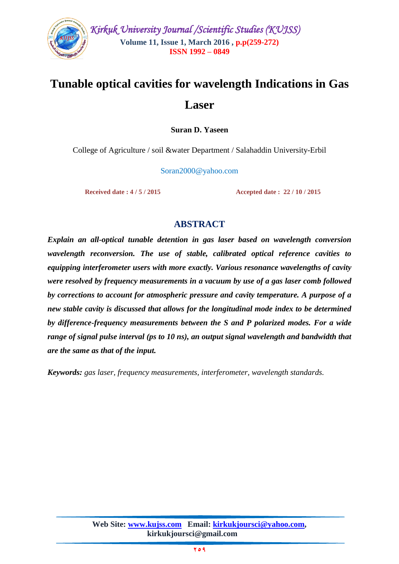

# **Tunable optical cavities for wavelength Indications in Gas Laser**

**Suran D. Yaseen**

College of Agriculture / soil &water Department / Salahaddin University-Erbil

Soran2000@yahoo.com

 **Received date : 4 / 5 / 2015 Accepted date : 22 / 10 / 2015**

## **ABSTRACT**

*Explain an all-optical tunable detention in gas laser based on wavelength conversion wavelength reconversion. The use of stable, calibrated optical reference cavities to equipping interferometer users with more exactly. Various resonance wavelengths of cavity were resolved by frequency measurements in a vacuum by use of a gas laser comb followed by corrections to account for atmospheric pressure and cavity temperature. A purpose of a new stable cavity is discussed that allows for the longitudinal mode index to be determined by difference-frequency measurements between the S and P polarized modes. For a wide range of signal pulse interval (ps to 10 ns), an output signal wavelength and bandwidth that are the same as that of the input.*

*Keywords: gas laser, frequency measurements, interferometer, wavelength standards.*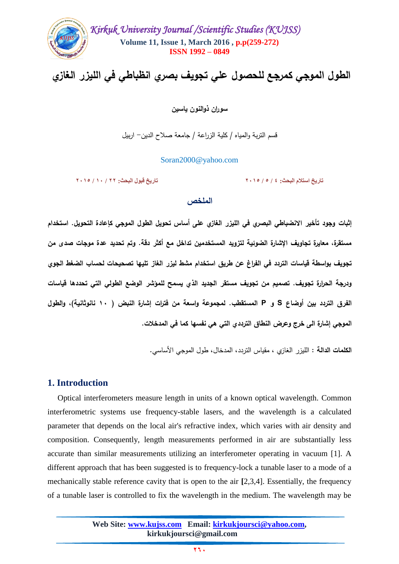

# **الطول الموجي كمرجع لمحصول عمي تجويف بصري انظباطي في الميزر الغازي**

**سوران ذوالنون ياسين**

قسم التربة والمياه / كمية الزراعة / جامعة صالح الدين- اربيل

Soran2000@yahoo.com

**تاريخ استالم البحث: 4 / 5 / 9205 تاريخ قبول البحث: 99 / 02 / 9205**

#### **الملخص**

**إثبات وجود تأخير االنضباطي البصري في الميزر الغازي عمى أساس تحويل الطول الموجي كإعادة التحويل. استخدام مستقرة، معايرة تجاويف اإلشارة الضوئية لتزويد المستخدمين تداخل مع أكثر دقة. وتم تحديد عدة موجات صدى من تجويف بواسطة قياسات التردد في الفراغ عن طريق استخدام مشط ليزر الغاز تميها تصحيحات لحساب الضغط الجوي ودرجة الحرارة تجويف. تصميم من تجويف مستقر الجديد الذي يسمح لممؤشر الوضع الطولي التي تحددها قياسات الفرق التردد بين أوضاع S و P المستقطب. لمجموعة واسعة من فترات إشارة النبض ) 01 نانوثانية(، والطول الموجي إشارة الى خرج وعرض النطاق الترددي التي هي نفسها كما في المدخالت.**

**الكممات الدالة :** الميزر الغازي ، مقياس التردد، المدخال، طول الموجي األساسي.

## **1. Introduction**

 Optical interferometers measure length in units of a known optical wavelength. Common interferometric systems use frequency-stable lasers, and the wavelength is a calculated parameter that depends on the local air's refractive index, which varies with air density and composition. Consequently, length measurements performed in air are substantially less accurate than similar measurements utilizing an interferometer operating in vacuum [1]. A different approach that has been suggested is to frequency-lock a tunable laser to a mode of a mechanically stable reference cavity that is open to the air **[**2,3,4]. Essentially, the frequency of a tunable laser is controlled to fix the wavelength in the medium. The wavelength may be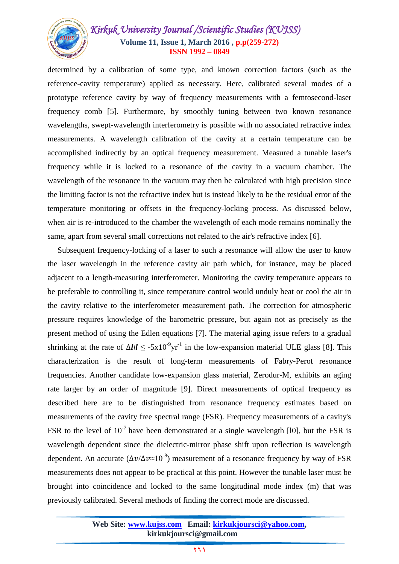# *Kirkuk University Journal /Scientific Studies (KUJSS)*  **Volume 11, Issue 1, March 2016 , p.p(259-272) ISSN 1992 – 0849**

determined by a calibration of some type, and known correction factors (such as the reference-cavity temperature) applied as necessary. Here, calibrated several modes of a prototype reference cavity by way of frequency measurements with a femtosecond-laser frequency comb [5]. Furthermore, by smoothly tuning between two known resonance wavelengths, swept-wavelength interferometry is possible with no associated refractive index measurements. A wavelength calibration of the cavity at a certain temperature can be accomplished indirectly by an optical frequency measurement. Measured a tunable laser's frequency while it is locked to a resonance of the cavity in a vacuum chamber. The wavelength of the resonance in the vacuum may then be calculated with high precision since the limiting factor is not the refractive index but is instead likely to be the residual error of the temperature monitoring or offsets in the frequency-locking process. As discussed below, when air is re-introduced to the chamber the wavelength of each mode remains nominally the same, apart from several small corrections not related to the air's refractive index [6].

 Subsequent frequency-locking of a laser to such a resonance will allow the user to know the laser wavelength in the reference cavity air path which, for instance, may be placed adjacent to a length-measuring interferometer. Monitoring the cavity temperature appears to be preferable to controlling it, since temperature control would unduly heat or cool the air in the cavity relative to the interferometer measurement path. The correction for atmospheric pressure requires knowledge of the barometric pressure, but again not as precisely as the present method of using the Edlen equations [7]. The material aging issue refers to a gradual shrinking at the rate of  $\Delta l / l \leq -5 \times 10^{-9} \text{yr}^{-1}$  in the low-expansion material ULE glass [8]. This characterization is the result of long-term measurements of Fabry-Perot resonance frequencies. Another candidate low-expansion glass material, Zerodur-M, exhibits an aging rate larger by an order of magnitude [9]. Direct measurements of optical frequency as described here are to be distinguished from resonance frequency estimates based on measurements of the cavity free spectral range (FSR). Frequency measurements of a cavity's FSR to the level of  $10^{-7}$  have been demonstrated at a single wavelength [10], but the FSR is wavelength dependent since the dielectric-mirror phase shift upon reflection is wavelength dependent. An accurate  $(\Delta \nu / \Delta \nu \approx 10^{-8})$  measurement of a resonance frequency by way of FSR measurements does not appear to be practical at this point. However the tunable laser must be brought into coincidence and locked to the same longitudinal mode index (m) that was previously calibrated. Several methods of finding the correct mode are discussed.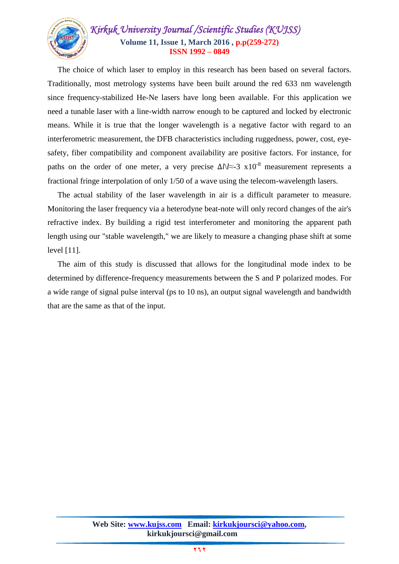

 The choice of which laser to employ in this research has been based on several factors. Traditionally, most metrology systems have been built around the red 633 nm wavelength since frequency-stabilized He-Ne lasers have long been available. For this application we need a tunable laser with a line-width narrow enough to be captured and locked by electronic means. While it is true that the longer wavelength is a negative factor with regard to an interferometric measurement, the DFB characteristics including ruggedness, power, cost, eyesafety, fiber compatibility and component availability are positive factors. For instance, for paths on the order of one meter, a very precise  $\Delta l \ll 3$  x10<sup>-8</sup> measurement represents a fractional fringe interpolation of only 1/50 of a wave using the telecom-wavelength lasers.

 The actual stability of the laser wavelength in air is a difficult parameter to measure. Monitoring the laser frequency via a heterodyne beat-note will only record changes of the air's refractive index. By building a rigid test interferometer and monitoring the apparent path length using our "stable wavelength," we are likely to measure a changing phase shift at some level [11].

 The aim of this study is discussed that allows for the longitudinal mode index to be determined by difference-frequency measurements between the S and P polarized modes. For a wide range of signal pulse interval (ps to 10 ns), an output signal wavelength and bandwidth that are the same as that of the input.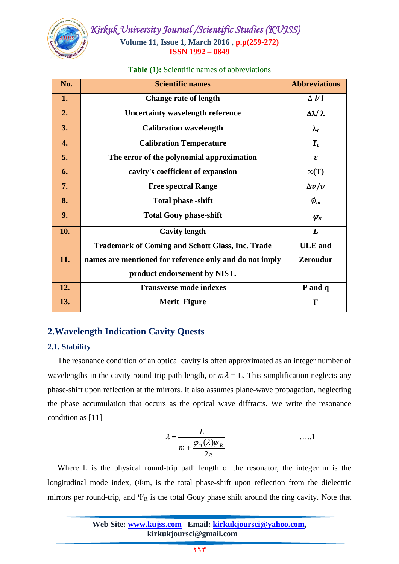

|  | <b>Table (1):</b> Scientific names of abbreviations |
|--|-----------------------------------------------------|
|--|-----------------------------------------------------|

| No.                | <b>Scientific names</b>                                 | <b>Abbreviations</b>       |
|--------------------|---------------------------------------------------------|----------------------------|
| 1.                 | <b>Change rate of length</b>                            | $\Delta$ $\ell$ l          |
| 2.                 | <b>Uncertainty wavelength reference</b>                 | $\Delta \lambda / \lambda$ |
| 3.                 | <b>Calibration wavelength</b>                           | $\lambda_{\rm c}$          |
| $\boldsymbol{4}$ . | <b>Calibration Temperature</b>                          | $T_c$                      |
| 5.                 | The error of the polynomial approximation               | ε                          |
| 6.                 | cavity's coefficient of expansion                       | $\propto$ (T)              |
| 7.                 | <b>Free spectral Range</b>                              | $\Delta v/v$               |
| 8.                 | <b>Total phase -shift</b>                               | $\emptyset_m$              |
| 9.                 | <b>Total Gouy phase-shift</b>                           | $\psi_R$                   |
| 10.                | <b>Cavity length</b>                                    | L                          |
|                    | <b>Trademark of Coming and Schott Glass, Inc. Trade</b> | <b>ULE</b> and             |
| 11.                | names are mentioned for reference only and do not imply | <b>Zeroudur</b>            |
|                    | product endorsement by NIST.                            |                            |
| 12.                | <b>Transverse mode indexes</b>                          | P and q                    |
| 13.                | <b>Merit Figure</b>                                     | $\Gamma$                   |

# **2.Wavelength Indication Cavity Quests**

## **2.1. Stability**

 The resonance condition of an optical cavity is often approximated as an integer number of wavelengths in the cavity round-trip path length, or  $m\lambda = L$ . This simplification neglects any phase-shift upon reflection at the mirrors. It also assumes plane-wave propagation, neglecting the phase accumulation that occurs as the optical wave diffracts. We write the resonance condition as [11]

$$
\lambda = \frac{L}{m + \frac{\varphi_m(\lambda)\psi_R}{2\pi}}
$$
 ......1

 Where L is the physical round-trip path length of the resonator, the integer m is the longitudinal mode index,  $(\Phi m)$ , is the total phase-shift upon reflection from the dielectric mirrors per round-trip, and  $\Psi_R$  is the total Gouy phase shift around the ring cavity. Note that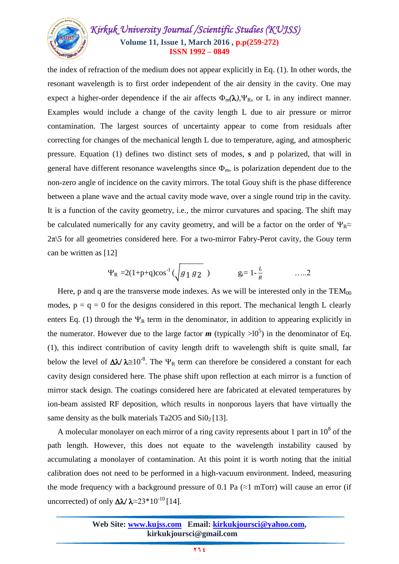# *Kirkuk University Journal /Scientific Studies (KUJSS)*  **Volume 11, Issue 1, March 2016 , p.p(259-272) ISSN 1992 – 0849**

the index of refraction of the medium does not appear explicitly in Eq. (1). In other words, the resonant wavelength is to first order independent of the air density in the cavity. One may expect a higher-order dependence if the air affects  $\Phi_m(\lambda)$ ,  $\Psi_R$ , or L in any indirect manner. Examples would include a change of the cavity length L due to air pressure or mirror contamination. The largest sources of uncertainty appear to come from residuals after correcting for changes of the mechanical length L due to temperature, aging, and atmospheric pressure. Equation (1) defines two distinct sets of modes, **s** and p polarized, that will in general have different resonance wavelengths since  $\Phi_m$ , is polarization dependent due to the non-zero angle of incidence on the cavity mirrors. The total Gouy shift is the phase difference between a plane wave and the actual cavity mode wave, over a single round trip in the cavity. It is a function of the cavity geometry, i.e., the mirror curvatures and spacing. The shift may be calculated numerically for any cavity geometry, and will be a factor on the order of  $\Psi_{\rm R} \approx$  $2\pi$ . 2π S for all geometries considered here. For a two-mirror Fabry-Perot cavity, the Gouy term can be written as [12]

$$
\Psi_R = 2(1+p+q)\cos^{-1}(\sqrt{g_1 g_2})
$$
  $g_i = 1-\frac{L}{R}$  ......2

Here, p and q are the transverse mode indexes. As we will be interested only in the  $TEM_{00}$ modes,  $p = q = 0$  for the designs considered in this report. The mechanical length L clearly enters Eq. (1) through the  $\Psi_R$  term in the denominator, in addition to appearing explicitly in the numerator. However due to the large factor  $m$  (typically  $>10^5$ ) in the denominator of Eq. (1), this indirect contribution of cavity length drift to wavelength shift is quite small, far below the level of  $\Delta \lambda / \lambda \approx 10^{-8}$ . The  $\Psi_R$  term can therefore be considered a constant for each cavity design considered here. The phase shift upon reflection at each mirror is a function of mirror stack design. The coatings considered here are fabricated at elevated temperatures by ion-beam assisted RF deposition, which results in nonporous layers that have virtually the same density as the bulk materials Ta2O5 and  $SiO<sub>2</sub>[13]$ .

A molecular monolayer on each mirror of a ring cavity represents about 1 part in  $10^8$  of the path length. However, this does not equate to the wavelength instability caused by accumulating a monolayer of contamination. At this point it is worth noting that the initial calibration does not need to be performed in a high-vacuum environment. Indeed, measuring the mode frequency with a background pressure of 0.1 Pa ( $\approx$ 1 mTorr) will cause an error (if uncorrected) of only  $\Delta\lambda/\lambda \approx 23*10^{-10}$  [14].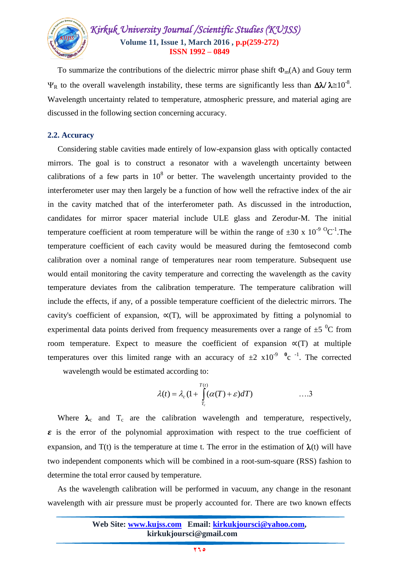

To summarize the contributions of the dielectric mirror phase shift  $\Phi_m(A)$  and Gouy term  $\Psi_R$  to the overall wavelength instability, these terms are significantly less than  $\Delta \lambda / \lambda \approx 10^{-8}$ . Wavelength uncertainty related to temperature, atmospheric pressure, and material aging are discussed in the following section concerning accuracy.

#### **2.2. Accuracy**

Considering stable cavities made entirely of low-expansion glass with optically contacted mirrors. The goal is to construct a resonator with a wavelength uncertainty between calibrations of a few parts in  $10^8$  or better. The wavelength uncertainty provided to the interferometer user may then largely be a function of how well the refractive index of the air in the cavity matched that of the interferometer path. As discussed in the introduction, candidates for mirror spacer material include ULE glass and Zerodur-M. The initial temperature coefficient at room temperature will be within the range of  $\pm 30 \times 10^{-9}$  °C<sup>-1</sup>. The temperature coefficient of each cavity would be measured during the femtosecond comb calibration over a nominal range of temperatures near room temperature. Subsequent use would entail monitoring the cavity temperature and correcting the wavelength as the cavity temperature deviates from the calibration temperature. The temperature calibration will include the effects, if any, of a possible temperature coefficient of the dielectric mirrors. The cavity's coefficient of expansion,  $\alpha(T)$ , will be approximated by fitting a polynomial to experimental data points derived from frequency measurements over a range of  $\pm 5\ ^{0}C$  from room temperature. Expect to measure the coefficient of expansion  $\alpha(T)$  at multiple temperatures over this limited range with an accuracy of  $\pm 2 \times 10^{-9}$  <sup>0</sup>c <sup>-1</sup>. The corrected

wavelength would be estimated according to:

$$
\lambda(t) = \lambda_c (1 + \int_{T_c}^{T(t)} (\alpha(T) + \varepsilon) dT) \qquad \qquad \dots \text{.}
$$

Where  $\lambda_c$  and  $T_c$  are the calibration wavelength and temperature, respectively,  $\epsilon$  is the error of the polynomial approximation with respect to the true coefficient of expansion, and  $T(t)$  is the temperature at time t. The error in the estimation of  $\lambda(t)$  will have two independent components which will be combined in a root-sum-square (RSS) fashion to determine the total error caused by temperature.

 As the wavelength calibration will be performed in vacuum, any change in the resonant wavelength with air pressure must be properly accounted for. There are two known effects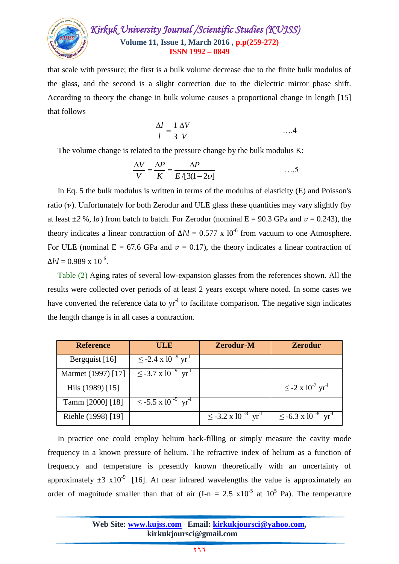

that scale with pressure; the first is a bulk volume decrease due to the finite bulk modulus of the glass, and the second is a slight correction due to the dielectric mirror phase shift. According to theory the change in bulk volume causes a proportional change in length [15] that follows

$$
\frac{\Delta l}{l} = \frac{1}{3} \frac{\Delta V}{V} \tag{4}
$$

The volume change is related to the pressure change by the bulk modulus K:

$$
\frac{\Delta V}{V} = \frac{\Delta P}{K} = \frac{\Delta P}{E/[3(1-2\nu]} \qquad \qquad \dots \dots 5
$$

 In Eq. 5 the bulk modulus is written in terms of the modulus of elasticity (E) and Poisson's ratio  $(v)$ . Unfortunately for both Zerodur and ULE glass these quantities may vary slightly (by at least  $\pm 2$  %, l $\sigma$ ) from batch to batch. For Zerodur (nominal E = 90.3 GPa and  $v = 0.243$ ), the theory indicates a linear contraction of  $\Delta l/l = 0.577 \times 10^{-6}$  from vacuum to one Atmosphere. For ULE (nominal  $E = 67.6$  GPa and  $v = 0.17$ ), the theory indicates a linear contraction of  $\Delta l \langle l = 0.989 \times 10^{-6}.$ 

 Table (2) Aging rates of several low-expansion glasses from the references shown. All the results were collected over periods of at least 2 years except where noted. In some cases we have converted the reference data to  $yr^{-1}$  to facilitate comparison. The negative sign indicates the length change is in all cases a contraction.

| <b>Reference</b>   | <b>ULE</b>                                      | <b>Zerodur-M</b>                                | <b>Zerodur</b>                                             |
|--------------------|-------------------------------------------------|-------------------------------------------------|------------------------------------------------------------|
| Bergquist [16]     | $\leq$ -2.4 x 10 <sup>-9</sup> yr <sup>-1</sup> |                                                 |                                                            |
| Marmet (1997) [17] | $\leq$ -3.7 x 10 <sup>-9</sup> yr <sup>-1</sup> |                                                 |                                                            |
| Hils (1989) [15]   |                                                 |                                                 | $\leq$ -2 x 10 <sup>-<math>'</math></sup> yr <sup>-1</sup> |
| Tamm [2000] [18]   | $\leq$ -5.5 x 10 <sup>-9</sup> yr <sup>-1</sup> |                                                 |                                                            |
| Riehle (1998) [19] |                                                 | $\leq$ -3.2 x 10 <sup>-8</sup> yr <sup>-1</sup> | $\leq$ -6.3 x 10 <sup>-8</sup> yr <sup>-1</sup>            |

 In practice one could employ helium back-filling or simply measure the cavity mode frequency in a known pressure of helium. The refractive index of helium as a function of frequency and temperature is presently known theoretically with an uncertainty of approximately  $\pm 3 \times 10^{-9}$  [16]. At near infrared wavelengths the value is approximately an order of magnitude smaller than that of air  $(I-n = 2.5 \times 10^{-5} \text{ at } 10^5 \text{ Pa})$ . The temperature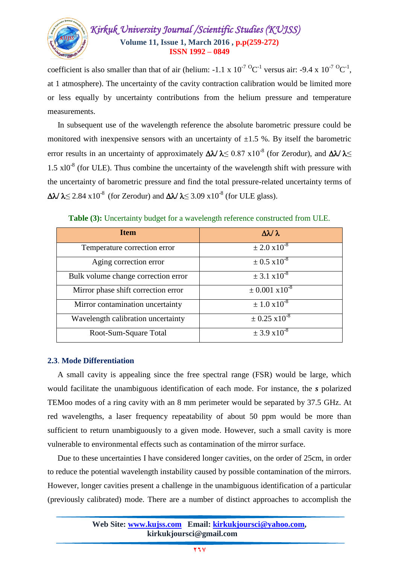

coefficient is also smaller than that of air (helium:  $-1.1 \times 10^{-7} {}^{0}C^{-1}$  versus air:  $-9.4 \times 10^{-7} {}^{0}C^{-1}$ , at 1 atmosphere). The uncertainty of the cavity contraction calibration would be limited more or less equally by uncertainty contributions from the helium pressure and temperature measurements.

 In subsequent use of the wavelength reference the absolute barometric pressure could be monitored with inexpensive sensors with an uncertainty of  $\pm 1.5$  %. By itself the barometric error results in an uncertainty of approximately  $\Delta \lambda / \lambda \leq 0.87 \times 10^{-8}$  (for Zerodur), and  $\Delta \lambda / \lambda \leq 0.87$  $1.5 \times 10^{-8}$  (for ULE). Thus combine the uncertainty of the wavelength shift with pressure with the uncertainty of barometric pressure and find the total pressure-related uncertainty terms of  $\Delta \lambda / \lambda \leq 2.84 \times 10^{-8}$  (for Zerodur) and  $\Delta \lambda / \lambda \leq 3.09 \times 10^{-8}$  (for ULE glass).

**Table (3):** Uncertainty budget for a wavelength reference constructed from ULE.

| <b>Item</b>                         | $\Delta \lambda / \lambda$    |
|-------------------------------------|-------------------------------|
| Temperature correction error        | $\pm 2.0 \times 10^{-8}$      |
| Aging correction error              | $\pm 0.5 \times 10^{-8}$      |
| Bulk volume change correction error | $\pm$ 3.1 x10 <sup>-8</sup>   |
| Mirror phase shift correction error | $\pm$ 0.001 x10 <sup>-8</sup> |
| Mirror contamination uncertainty    | $\pm 1.0 \times 10^{-8}$      |
| Wavelength calibration uncertainty  | $\pm$ 0.25 x10 <sup>-8</sup>  |
| Root-Sum-Square Total               | $\pm$ 3.9 x10 <sup>-8</sup>   |

#### **2.3**. **Mode Differentiation**

 A small cavity is appealing since the free spectral range (FSR) would be large, which would facilitate the unambiguous identification of each mode. For instance, the *s* polarized TEMoo modes of a ring cavity with an 8 mm perimeter would be separated by 37.5 GHz. At red wavelengths, a laser frequency repeatability of about 50 ppm would be more than sufficient to return unambiguously to a given mode. However, such a small cavity is more vulnerable to environmental effects such as contamination of the mirror surface.

 Due to these uncertainties I have considered longer cavities, on the order of 25cm, in order to reduce the potential wavelength instability caused by possible contamination of the mirrors. However, longer cavities present a challenge in the unambiguous identification of a particular (previously calibrated) mode. There are a number of distinct approaches to accomplish the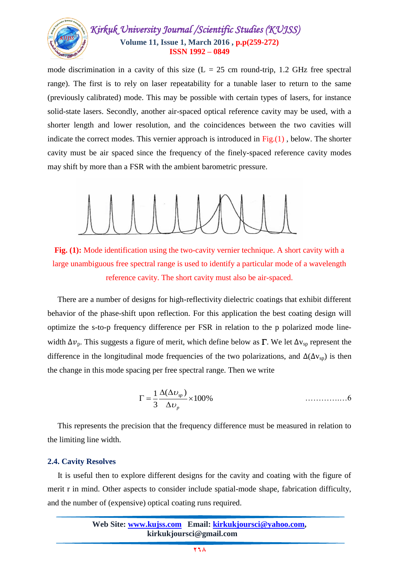

mode discrimination in a cavity of this size  $(L = 25 \text{ cm}$  round-trip, 1.2 GHz free spectral range). The first is to rely on laser repeatability for a tunable laser to return to the same (previously calibrated) mode. This may be possible with certain types of lasers, for instance solid-state lasers. Secondly, another air-spaced optical reference cavity may be used, with a shorter length and lower resolution, and the coincidences between the two cavities will indicate the correct modes. This vernier approach is introduced in  $Fig.(1)$ , below. The shorter cavity must be air spaced since the frequency of the finely-spaced reference cavity modes may shift by more than a FSR with the ambient barometric pressure.



**Fig. (1):** Mode identification using the two-cavity vernier technique. A short cavity with a large unambiguous free spectral range is used to identify a particular mode of a wavelength reference cavity. The short cavity must also be air-spaced.

 There are a number of designs for high-reflectivity dielectric coatings that exhibit different behavior of the phase-shift upon reflection. For this application the best coating design will optimize the s-to-p frequency difference per FSR in relation to the p polarized mode linewidth  $\Delta v_p$ . This suggests a figure of merit, which define below as  $\Gamma$ . We let  $\Delta v_{sp}$  represent the difference in the longitudinal mode frequencies of the two polarizations, and  $\Delta(\Delta v_{sp})$  is then the change in this mode spacing per free spectral range. Then we write

$$
\Gamma = \frac{1}{3} \frac{\Delta(\Delta v_{sp})}{\Delta v_p} \times 100\%
$$

 This represents the precision that the frequency difference must be measured in relation to the limiting line width.

#### **2.4. Cavity Resolves**

 It is useful then to explore different designs for the cavity and coating with the figure of merit r in mind. Other aspects to consider include spatial-mode shape, fabrication difficulty, and the number of (expensive) optical coating runs required.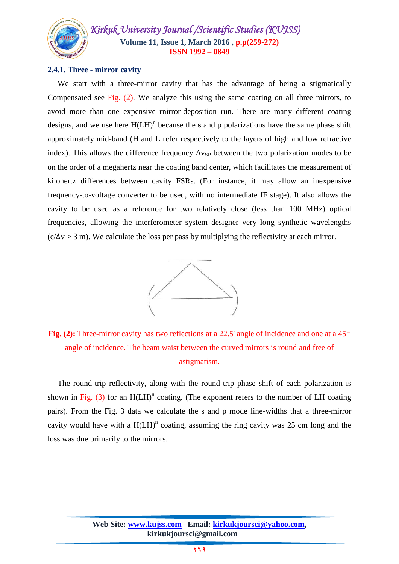

#### **2.4.1. Three - mirror cavity**

 We start with a three-mirror cavity that has the advantage of being a stigmatically Compensated see Fig. (2). We analyze this using the same coating on all three mirrors, to avoid more than one expensive rnirror-deposition run. There are many different coating designs, and we use here  $H(LH)^n$  because the **s** and p polarizations have the same phase shift approximately mid-band (H and L refer respectively to the layers of high and low refractive index). This allows the difference frequency  $\Delta v_{SP}$  between the two polarization modes to be on the order of a megahertz near the coating band center, which facilitates the measurement of kilohertz differences between cavity FSRs. (For instance, it may allow an inexpensive frequency-to-voltage converter to be used, with no intermediate IF stage). It also allows the cavity to be used as a reference for two relatively close (less than 100 MHz) optical frequencies, allowing the interferometer system designer very long synthetic wavelengths  $(c/\Delta v > 3$  m). We calculate the loss per pass by multiplying the reflectivity at each mirror.



**Fig.** (2): Three-mirror cavity has two reflections at a 22.5' angle of incidence and one at a 45<sup> $\Box$ </sup> angle of incidence. The beam waist between the curved mirrors is round and free of astigmatism.

 The round-trip reflectivity, along with the round-trip phase shift of each polarization is shown in Fig. (3) for an  $H(LH)^n$  coating. (The exponent refers to the number of LH coating pairs). From the Fig. 3 data we calculate the s and p mode line-widths that a three-mirror cavity would have with a  $H(LH)^n$  coating, assuming the ring cavity was 25 cm long and the loss was due primarily to the mirrors.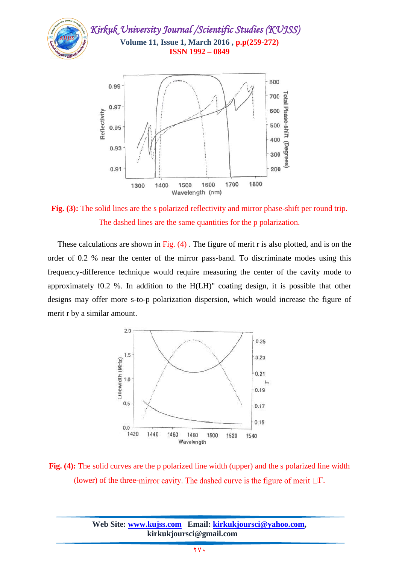

**Fig. (3):** The solid lines are the s polarized reflectivity and mirror phase-shift per round trip. The dashed lines are the same quantities for the p polarization.

 These calculations are shown in Fig. (4) . The figure of merit r is also plotted, and is on the order of 0.2 % near the center of the mirror pass-band. To discriminate modes using this frequency-difference technique would require measuring the center of the cavity mode to approximately f0.2 %. In addition to the H(LH)" coating design, it is possible that other designs may offer more s-to-p polarization dispersion, which would increase the figure of merit r by a similar amount.



**Fig. (4):** The solid curves are the p polarized line width (upper) and the s polarized line width (lower) of the three-mirror cavity. The dashed curve is the figure of merit  $\Box\Gamma$ .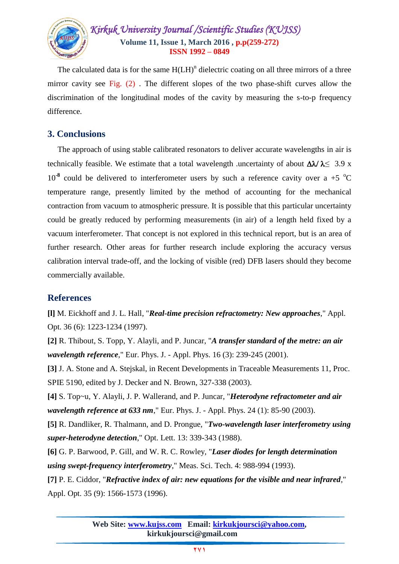

The calculated data is for the same  $H(LH)^n$  dielectric coating on all three mirrors of a three mirror cavity see Fig. (2) . The different slopes of the two phase-shift curves allow the discrimination of the longitudinal modes of the cavity by measuring the s-to-p frequency difference.

## **3. Conclusions**

 The approach of using stable calibrated resonators to deliver accurate wavelengths in air is technically feasible. We estimate that a total wavelength .uncertainty of about  $\Delta\lambda/\lambda \leq 3.9$  x  $10^{-8}$  could be delivered to interferometer users by such a reference cavity over a +5  $^{\circ}$ C temperature range, presently limited by the method of accounting for the mechanical contraction from vacuum to atmospheric pressure. It is possible that this particular uncertainty could be greatly reduced by performing measurements (in air) of a length held fixed by a vacuum interferometer. That concept is not explored in this technical report, but is an area of further research. Other areas for further research include exploring the accuracy versus calibration interval trade-off, and the locking of visible (red) DFB lasers should they become commercially available.

## **References**

**[l]** M. Eickhoff and J. L. Hall, "*Real-time precision refractometry: New approaches*," Appl. Opt. 36 (6): 1223-1234 (1997).

**[2]** R. Thibout, S. Topp, Y. Alayli, and P. Juncar, "*A transfer standard of the metre: an air wavelength reference*," Eur. Phys. J. - Appl. Phys. 16 (3): 239-245 (2001).

**[3]** J. A. Stone and A. Stejskal, in Recent Developments in Traceable Measurements 11, Proc. SPIE 5190, edited by J. Decker and N. Brown, 327-338 (2003).

**[4]** S. Top~u, Y. Alayli, J. P. Wallerand, and P. Juncar, "*Heterodyne refractometer and air wavelength reference at 633 nm*," Eur. Phys. J. - Appl. Phys. 24 (1): 85-90 (2003).

**[5]** R. Dandliker, R. Thalmann, and D. Prongue, "*Two-wavelength laser interferometry using super-heterodyne detection*," Opt. Lett. 13: 339-343 (1988).

**[6]** G. P. Barwood, P. Gill, and W. R. C. Rowley, "*Laser diodes for length determination using swept-frequency interferometry*," Meas. Sci. Tech. 4: 988-994 (1993).

**[7]** P. E. Ciddor, "*Refractive index of air: new equations for the visible and near infrared*," Appl. Opt. 35 (9): 1566-1573 (1996).